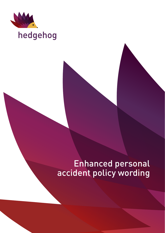

# hedgehog

# Enhanced personal accident policy wording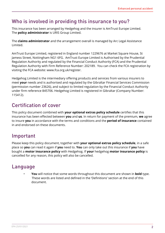# Who is involved in providing this insurance to you?

This insurance has been arranged by Hedgehog and the insurer is AmTrust Europe Limited. The **policy administrator** is URIS Group Limited.

The **claims administrator** and the arrangement overall is managed by Arc Legal Assistance Limited.

AmTrust Europe Limited, registered in England number 1229676 at Market Square House, St Jamess Street, Nottingham NG1 6FG. AmTrust Europe Limited is Authorised by the Prudential Regulation Authority and regulated by the Financial Conduct Authority (FCA) and the Prudential Regulation Authority with Firm Reference Number: 202189. You can check the FCA registration by visiting the FCA website: www.fca.org.uk/register.

Hedgehog Limited is the intermediary offering products and services from various insurers to meet **your** needs and is authorised and regulated by the Gibraltar Financial Services Commission (permission number 23626), and subject to limited regulation by the Financial Conduct Authority under firm reference 845706. Hedgehog Limited is registered in Gibraltar (Company Number: 115412).

# Certification of cover

This policy document combined with **your optional extras policy schedule** certifies that this insurance has been effected between **you** and **us**. In return for payment of the premium, **we** agree to insure **you** in accordance with the terms and conditions and the **period of insurance** contained in and endorsed on these documents.

# Important

Please keep this policy document, together with **your optional extras policy schedule**, in a safe place so **you** can read it again if **you** need to. **You** can only take out this insurance if **you** have bought a **motor insurance policy** with Hedgehog. If **your** hedgehog **motor insurance policy** is cancelled for any reason, this policy will also be cancelled.

# Language

• **You** will notice that some words throughout this document are shown in **bold** type. These words are listed and defined in the 'Definitions' section at the end of this document.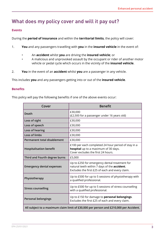# What does my policy cover and will it pay out?

### **Events**

During the **period of insurance** and within the **territorial limits**, the policy will cover:

- 1. **You** and any passengers travelling with **you** in the **insured vehicle** in the event of:
	- An **accident** whilst **you** are driving the **insured vehicle**; or
	- A malicious and unprovoked assault by the occupant or rider of another motor vehicle or pedal cycle which occurs in the vicinity of the **insured vehicle**.
- 2. **You** in the event of an **accident** whilst **you** are a passenger in any vehicle.

This includes **you** and any passengers getting into or out of the **insured vehicle**.

### **Benefits**

This policy will pay the following benefits if one of the above events occur:

| Cover                                                                                 | <b>Benefit</b>                                                                                                                                   |
|---------------------------------------------------------------------------------------|--------------------------------------------------------------------------------------------------------------------------------------------------|
| <b>Death</b>                                                                          | £30,000<br>(£2,500 for a passenger under 16 years old)                                                                                           |
| Loss of sight                                                                         | £30,000                                                                                                                                          |
| Loss of speech                                                                        | £30,000                                                                                                                                          |
| Loss of hearing                                                                       | £30,000                                                                                                                                          |
| Loss of limbs                                                                         | £30,000                                                                                                                                          |
| <b>Permanent total disablement</b>                                                    | £30,000                                                                                                                                          |
| <b>Hospitalisation benefit</b>                                                        | £100 per each completed 24 hour period of stay in a<br>hospital up to a maximum of 30 days.<br>Cover excludes the first 24 hours.                |
| Third and Fourth degree burns                                                         | £5,000                                                                                                                                           |
| <b>Emergency dental expenses</b>                                                      | Up to £250 for emergency dental treatment for<br>natural teeth within 7 days of the accident.<br>Excludes the first £25 of each and every claim. |
| Physiotherapy                                                                         | Up to £500 for up to 5 sessions of physiotherapy with<br>a qualified professional.                                                               |
| <b>Stress counselling</b>                                                             | Up to £500 for up to 5 sessions of stress counselling<br>with a qualified professional.                                                          |
| <b>Personal belongings</b>                                                            | Up to £150 for damage to personal belongings.<br>Excludes the first £25 of each and every claim.                                                 |
| All subject to a maximum claim limit of £30,000 per person and £210,000 per Accident. |                                                                                                                                                  |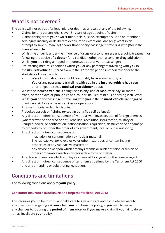# What is not covered?

The policy will not pay out for loss, injury or death as a result of any of the following:

- Claims for any person who is over 81 years of age at point of claim;
- Claims arising from **your** own criminal acts, suicide, attempted suicide or intentional self-injury, insanity or deliberate exposure to exceptional danger (except in an attempt to save human life) and/or those of any passengers travelling with **you** in the **insured vehicle**;
- Whilst the driver is under the influence of drugs or alcohol unless undergoing treatment or following the advice of a **doctor** for a condition other than alcohol or drug addiction;
- Whilst **you** are riding a moped or motorcycle as a driver or passenger;
- Pre-existing medical conditions which **you** or any passengers travelling with **you** in the **insured vehicle** suffered from in the 12 month period immediately prior to the start date of cover which:
	- Were known about, or should reasonably have known about; or
	- **You** or any passengers travelling with **you** in the **insured vehicle** had seen, or arranged to see, a **medical practitioner** about;
- Whilst the **insured vehicle** is being used in any kind of race, track day, or motor trade, or for private or public hire as a courier, haulier, mini bus or driving instructor;
- Whilst **you** or any passengers travelling with **you** in the **insured vehicle** are engaged in military, air force or naval services or operations;
- Any matrimonial or family dispute;
- Provoked assault or fighting (except in bona fide self defence);
- Any direct or indirect consequence of war, civil war, invasion, acts of foreign enemies (whether war be declared or not), rebellion, revolution, insurrection, military or usurped power, or confiscation, nationalisation, requisition, destruction of or damage to property by or under the order of any government, local or public authority; Any direct or indirect consequence of:
	- Irradiation, or contamination by nuclear material;
	- The radioactive, toxic, explosive or other hazardous or contaminating properties of any radioactive matter; or
	- Any device or weapon which employs atomic or nuclear fission or fusion or other comparable reaction or radioactive force or matter.
- Any device or weapon which employs a chemical, biological or other similar agent.
- Any direct or indirect consequence of terrorism as defined by the Terrorism Act 2000 and any amending or substituting legislation.

# Conditions and limitations

The following conditions apply to **your** policy:

# **Consumer Insurance (Disclosure and Representations) Act 2012**

This requires **you** to be truthful and take care to give accurate and complete answers to any questions Hedgehog ask **you** when **you** purchase the policy, if **you** wish to make any changes to it during the **period of insurance**, or if **you** make a claim. If **you** fail to do so it may invalidate **your** policy.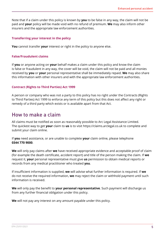Note that if a claim under this policy is known by **you** to be false in any way, the claim will not be paid and **your** policy will be made void with no refund of premium. **We** may also inform other insurers and the appropriate law enforcement authorities.

### **Transferring your interest in the policy**

**You** cannot transfer **your** interest or right in the policy to anyone else.

#### **False/Fraudulent claims**

If **you** or anyone acting on **your** behalf makes a claim under this policy and know the claim is false or fraudulent in any way, the cover will be void, the claim will not be paid and all monies received by **you** or **your** personal representative shall be immediately repaid. **We** may also share this information with other insurers and with the appropriate law enforcement authorities.

#### **Contract (Rights to Third Parties) Act 1999**

A person or company who was not a party to this policy has no right under the Contracts (Rights to Third Parties) Act 1999 to enforce any term of this policy but this does not affect any right or remedy of a third party which exists or is available apart from that Act.

# How to make a claim

All claims must be notified as soon as reasonably possible to Arc Legal Assistance Limited. The quickest way to get **your** claim to **us** is to visit https://claims.arclegal.co.uk to complete and submit your claim online.

If **you** need assistance, or are unable to complete **your** claim online, please telephone **0344 770 9000**.

**We** will only pay claims after **we** have received appropriate evidence and acceptable proof of claim (for example the death certificate, accident report) and title of the person making the claim. If **we** request it, **your** personal representative must give **us** permission to obtain medical reports or records from any medical practitioner who treated **you**.

If insufficient information is supplied, **we** will advise what further information is required. If **we** do not receive the required information, **we** may reject the claim or withhold payment until such information is received.

**We** will only pay the benefit to **your personal representative**. Such payment will discharge us from any further financial obligation under this policy.

**We** will not pay any interest on any amount payable under this policy.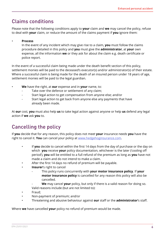# Claims conditions

Please note that the following conditions apply to **your** claim and **we** may cancel the policy, refuse to deal with **your** claim, or reduce the amount of the claims payment if **you** ignore them:

### • **Process**

In the event of any incident which may give rise to a claim, **you** must follow the claims procedure detailed in this policy and **you** must give the **administrator**, at **your** own expense, all the information **we** or they ask for about the claim e.g. death certificate or police report.

In the event of a successful claim being made under the death benefit section of this policy, settlement monies will be paid to the deceased's executor(s) and/or administrator(s) of their estate. Where a successful claim is being made for the death of an insured person under 18 years of age, settlement monies will be paid to the legal guardian.

- **We** have the right, at **our** expense and in **your** name, to:
	- Take over the defence or settlement of any claim;
	- Start legal action to get compensation from anyone else; and/or
	- Start legal action to get back from anyone else any payments that have already been made.

At **our** cost, **you** must also help **us** to take legal action against anyone or help **us** defend any legal action if **we** ask **you** to.

# Cancelling the policy

If **you** decide that for any reason, this policy does not meet **your** insurance needs **you** have the right to cancel it. **You** can cancel your policy at <www.hedgehoginsurance.com>.

- If **you** decide to cancel within the first 14 days from the day of purchase or the day on which **you** receive **your** policy documentation, whichever is the later ('cooling off period'), **you** will be entitled to a full refund of the premium as long as **you** have not made a claim and do not intend to make a claim.
- After the first 14 days no refund of premium will be payable.
- **Insurer**'s right to cancel
	- This policy runs concurrently with **your motor insurance policy**. If **your motor insurance policy** is cancelled for any reason this policy will also be cancelled.
	- We may cancel your policy, but only if there is a valid reason for doing so. Valid reasons include (but are not limited to):
- Fraud;
- Non-payment of premium; and/or
- Threatening and abusive behaviour against **our** staff or the **administrator**'s staff.

Where **we** have cancelled **your** policy no refund of premium would be made.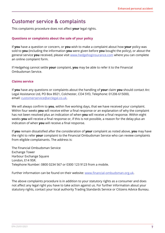# Customer service & complaints

This complaints procedure does not affect **your** legal rights.

# **Questions or complaints about the sale of your policy**

If **you** have a question or concern, or **you** wish to make a complaint about how **your** policy was sold to **you** (including the information **you** were given before **you** bought the policy), or about the general service **you** received, please visit<www.hedgehoginsurance.com>where you can complete an online complaint form.

If Hedgehog cannot settle **your** complaint, **you** may be able to refer it to the Financial Ombudsman Service.

# **Claims service**

If **you** have any questions or complaints about the handling of **your** claim **you** should contact Arc Legal Assistance Ltd, PO Box 8921, Colchester, CO4 5YD, Telephone: 01206 615000, email: customerservice@arclegal.co.uk.

We will always confirm to **you**, within five working days, that we have received your complaint. Within four weeks **you** will receive either a final response or an explanation of why the complaint has not been resolved plus an indication of when **you** will receive a final response. Within eight weeks **you** will receive a final response or, if this is not possible, a reason for the delay plus an indication of when **you** will receive a final response.

If **you** remain dissatisfied after the consideration of **your** complaint as noted above, **you** may have the right to refer **your** complaint to the Financial Ombudsman Service who can review complaints from eligible complainants. The address is:

The Financial Ombudsman Service Exchange Tower Harbour Exchange Square London, E14 9SR. Telephone Number: 0800 0234 567 or 0300 123 9123 from a mobile.

Further information can be found on their website: www.financial-ombudsman.org.uk.

The above complaints procedure is in addition to your statutory rights as a consumer and does not affect any legal right you have to take action against us. For further information about your statutory rights, contact your local authority Trading Standards Service or Citizens Advice Bureau.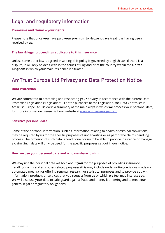# Legal and regulatory information

# **Premiums and claims – your rights**

Please note that once **you** have paid **your** premium to Hedgehog **we** treat it as having been received by **us**.

### **The law & legal proceedings applicable to this insurance**

Unless some other law is agreed in writing, this policy is governed by English law. If there is a dispute, it will only be dealt with in the courts of England or of the country within the **United Kingdom** in which **your** main residence is situated.

# AmTrust Europe Ltd Privacy and Data Protection Notice

# **Data Protection**

**We** are committed to protecting and respecting **your** privacy in accordance with the current Data Protection Legislation ("Legislation"). For the purposes of the Legislation, the Data Controller is AmTrust Europe Ltd. Below is a summary of the main ways in which **we** process your personal data, for more information please visit our website at www.amtrusteurope.com.

#### **Sensitive personal data**

Some of the personal information, such as information relating to health or criminal convictions, may be required by **us** for the specific purposes of underwriting or as part of the claims handling process. The provision of such data is conditional for **us** to be able to provide insurance or manage a claim. Such data will only be used for the specific purposes set out in **our** notice.

#### **How we use your personal data and who we share it with**

**We** may use the personal data **we** hold about **you** for the purposes of providing insurance, handling claims and any other related purposes (this may include underwriting decisions made via automated means), for offering renewal, research or statistical purposes and to provide **you** with information, products or services that you request from **us** or which **we** feel may interest **you**. **We** will also use **your** data to safe-guard against fraud and money laundering and to meet **our** general legal or regulatory obligations.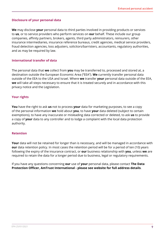# **Disclosure of your personal data**

**We** may disclose **your** personal data to third parties involved in providing products or services to **us**, or to service providers who perform services on **our** behalf. These include our group companies, affinity partners, brokers, agents, third party administrators, reinsurers, other insurance intermediaries, insurance reference bureaus, credit agencies, medical service providers, fraud detection agencies, loss adjusters, solicitors/barristers, accountants, regulatory authorities, and as may be required by law.

### **International transfer of data**

The personal data that **we** collect from **you** may be transferred to, processed and stored at, a destination outside the European Economic Area ("EEA"). **We** currently transfer personal data outside of the EEA to the USA and Israel. Where **we** transfer **your** personal data outside of the EEA, **we** will take all steps necessary to ensure that it is treated securely and in accordance with this privacy notice and the Legislation.

# **Your rights**

**You** have the right to ask **us** not to process **your** data for marketing purposes, to see a copy of the personal information **we** hold about **you**, to have **your** data deleted (subject to certain exemptions), to have any inaccurate or misleading data corrected or deleted, to ask **us** to provide a copy of **your** data to any controller and to lodge a complaint with the local data protection authority.

#### **Retention**

Your data will not be retained for longer than is necessary, and will be managed in accordance with **our** data retention policy. In most cases the retention period will be for a period of ten (10) years following the expiry of the insurance contract, or **our** business relationship with **you**, unless **we** are required to retain the data for a longer period due to business, legal or regulatory requirements.

If you have any questions concerning **our** use of **your** personal data, please contact **The Data Protection Officer, AmTrust International - please see website for full address details**.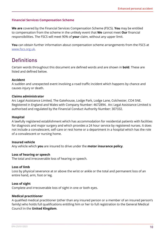# **Financial Services Compensation Scheme**

**We are** covered by the Financial Services Compensation Scheme (FSCS). **You** may be entitled to compensation from the scheme in the unlikely event that **We** cannot meet **Our** financial responsibilities. The FSCS will meet 90% of **your** claim, without any upper limit.

**You** can obtain further information about compensation scheme arrangements from the FSCS at <www.fscs.org.uk>.

# **Definitions**

Certain words throughout this document are defined words and are shown in **bold**. These are listed and defined below.

# **Accident**

A sudden and unexpected event involving a road traffic incident which happens by chance and causes injury or death.

# **Claims administrator**

Arc Legal Assistance Limited, The Gatehouse, Lodge Park, Lodge Lane, Colchester, CO4 5NE. Registered in England and Wales with Company Number: 4672894. Arc Legal Assistance Limited is authorised and regulated by the Financial Conduct Authority Number: 307332.

### **Hospital**

A lawfully registered establishment which has accommodation for residential patients with facilities for diagnosis and major surgery and which provides a 24 hour service by registered nurses. It does not include a convalescent, self-care or rest home or a department in a hospital which has the role of a convalescent or nursing home.

# **Insured vehicle**

Any vehicle which **you** are insured to drive under the **motor insurance policy**.

#### **Loss of hearing or speech**

The total and irrecoverable loss of hearing or speech.

#### **Loss of limb**

Loss by physical severance at or above the wrist or ankle or the total and permanent loss of an entire hand, arm, foot or leg.

#### **Loss of sight**

Complete and irrecoverable loss of sight in one or both eyes.

#### **Medical practitioner**

A qualified medical practitioner (other than any insured person or a member of an insured person's family) who holds full qualifications entitling him or her to full registration to the General Medical Council in the **United Kingdom**.